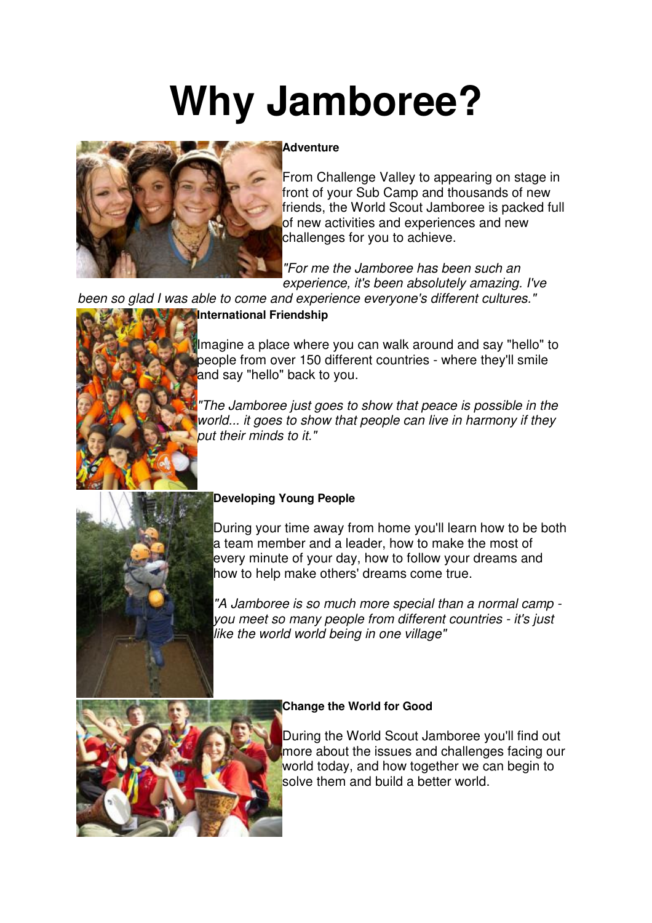# **Why Jamboree?**



#### **Adventure**

From Challenge Valley to appearing on stage in front of your Sub Camp and thousands of new friends, the World Scout Jamboree is packed full of new activities and experiences and new challenges for you to achieve.

"For me the Jamboree has been such an experience, it's been absolutely amazing. I've

been so glad I was able to come and experience everyone's different cultures."

# **International Friendship**



Imagine a place where you can walk around and say "hello" to people from over 150 different countries - where they'll smile and say "hello" back to you.

"The Jamboree just goes to show that peace is possible in the world... it goes to show that people can live in harmony if they put their minds to it."



### **Developing Young People**

During your time away from home you'll learn how to be both a team member and a leader, how to make the most of every minute of your day, how to follow your dreams and how to help make others' dreams come true.

"A Jamboree is so much more special than a normal camp you meet so many people from different countries - it's just like the world world being in one village"



### **Change the World for Good**

During the World Scout Jamboree you'll find out more about the issues and challenges facing our world today, and how together we can begin to solve them and build a better world.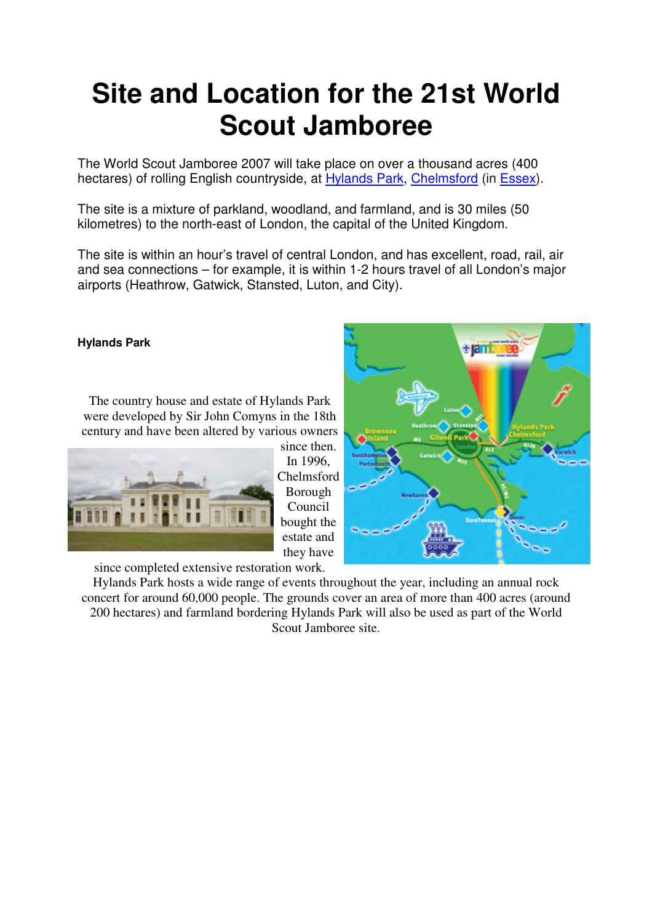# **Site and Location for the 21st World Scout Jamboree**

The World Scout Jamboree 2007 will take place on over a thousand acres (400 hectares) of rolling English countryside, at Hylands Park, Chelmsford (in Essex).

The site is a mixture of parkland, woodland, and farmland, and is 30 miles (50 kilometres) to the north-east of London, the capital of the United Kingdom.

The site is within an hour's travel of central London, and has excellent, road, rail, air and sea connections – for example, it is within 1-2 hours travel of all London's major airports (Heathrow, Gatwick, Stansted, Luton, and City).

#### **Hylands Park**

The country house and estate of Hylands Park were developed by Sir John Comyns in the 18th century and have been altered by various owners



since then. In 1996, Chelmsford Borough Council bought the estate and they have



since completed extensive restoration work.

Hylands Park hosts a wide range of events throughout the year, including an annual rock concert for around 60,000 people. The grounds cover an area of more than 400 acres (around 200 hectares) and farmland bordering Hylands Park will also be used as part of the World Scout Jamboree site.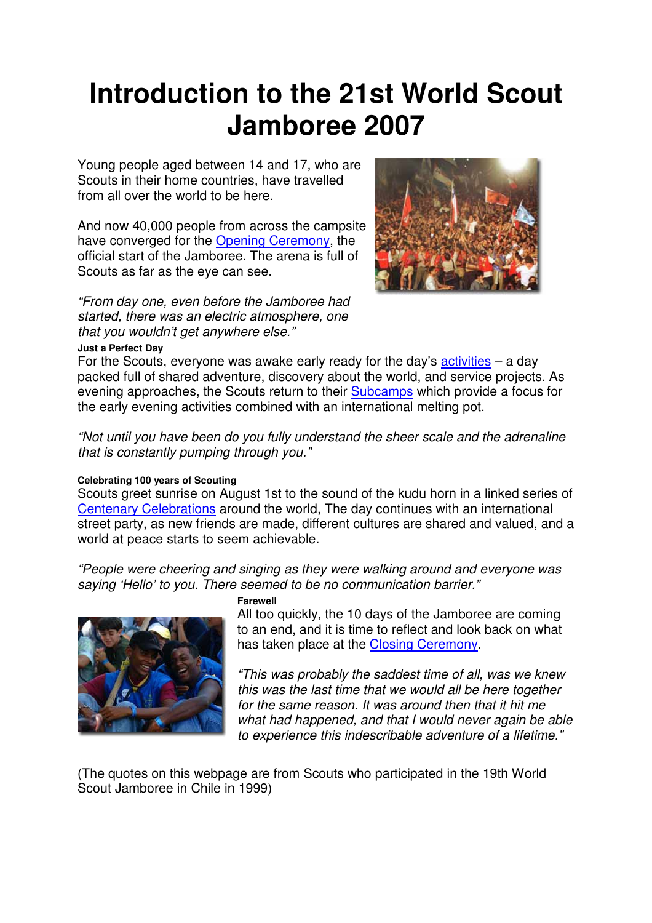# **Introduction to the 21st World Scout Jamboree 2007**

Young people aged between 14 and 17, who are Scouts in their home countries, have travelled from all over the world to be here.

And now 40,000 people from across the campsite have converged for the Opening Ceremony, the official start of the Jamboree. The arena is full of Scouts as far as the eye can see.

"From day one, even before the Jamboree had started, there was an electric atmosphere, one that you wouldn't get anywhere else."



#### **Just a Perfect Day**

For the Scouts, everyone was awake early ready for the day's activities  $-$  a day packed full of shared adventure, discovery about the world, and service projects. As evening approaches, the Scouts return to their Subcamps which provide a focus for the early evening activities combined with an international melting pot.

"Not until you have been do you fully understand the sheer scale and the adrenaline that is constantly pumping through you."

#### **Celebrating 100 years of Scouting**

Scouts greet sunrise on August 1st to the sound of the kudu horn in a linked series of Centenary Celebrations around the world, The day continues with an international street party, as new friends are made, different cultures are shared and valued, and a world at peace starts to seem achievable.

"People were cheering and singing as they were walking around and everyone was saying 'Hello' to you. There seemed to be no communication barrier."



#### **Farewell**

All too quickly, the 10 days of the Jamboree are coming to an end, and it is time to reflect and look back on what has taken place at the Closing Ceremony.

"This was probably the saddest time of all, was we knew this was the last time that we would all be here together for the same reason. It was around then that it hit me what had happened, and that I would never again be able to experience this indescribable adventure of a lifetime."

(The quotes on this webpage are from Scouts who participated in the 19th World Scout Jamboree in Chile in 1999)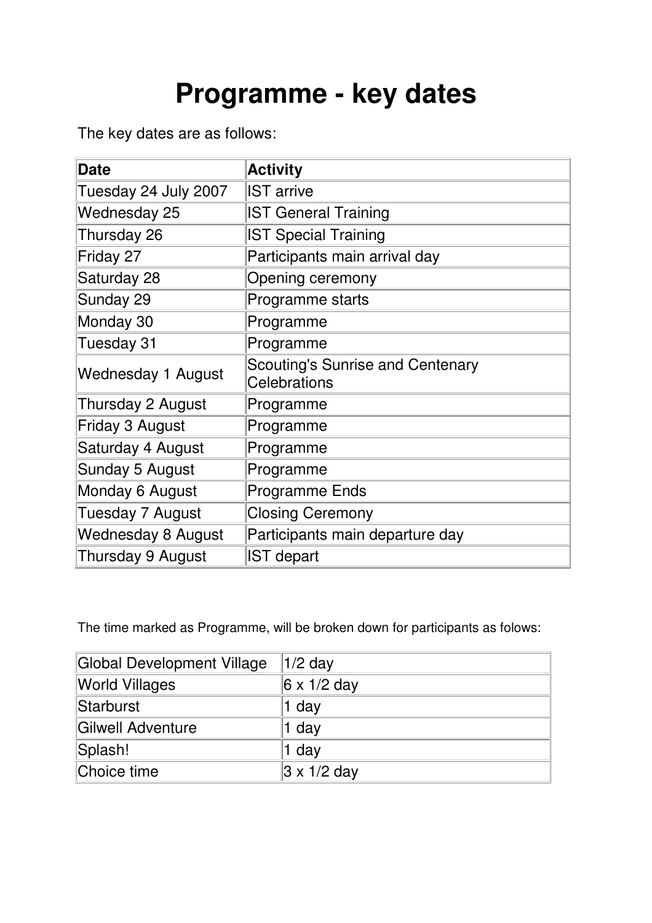# **Programme - key dates**

The key dates are as follows:

| <b>Date</b>          | <b>Activity</b>                                                |
|----------------------|----------------------------------------------------------------|
| Tuesday 24 July 2007 | <b>IST</b> arrive                                              |
| Wednesday 25         | <b>IST General Training</b>                                    |
| Thursday 26          | <b>IST Special Training</b>                                    |
| Friday 27            | Participants main arrival day                                  |
| Saturday 28          | Opening ceremony                                               |
| Sunday 29            | Programme starts                                               |
| Monday 30            | Programme                                                      |
| Tuesday 31           | Programme                                                      |
| Wednesday 1 August   | <b>Scouting's Sunrise and Centenary</b><br><b>Celebrations</b> |
| Thursday 2 August    | Programme                                                      |
| Friday 3 August      | Programme                                                      |
| Saturday 4 August    | Programme                                                      |
| Sunday 5 August      | Programme                                                      |
| Monday 6 August      | <b>Programme Ends</b>                                          |
| Tuesday 7 August     | <b>Closing Ceremony</b>                                        |
| Wednesday 8 August   | Participants main departure day                                |
| Thursday 9 August    | <b>IST</b> depart                                              |

The time marked as Programme, will be broken down for participants as folows:

| Global Development Village | $1/2$ day          |
|----------------------------|--------------------|
| <b>World Villages</b>      | $6 \times 1/2$ day |
| Starburst                  | 1 day              |
| Gilwell Adventure          | 1 day              |
| Splash!                    | $1$ day            |
| Choice time                | $3 \times 1/2$ day |